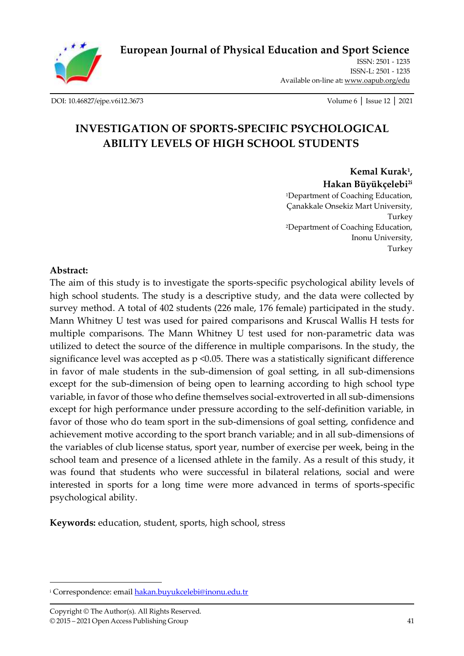

**[European Journal of Physical Education and Sport Science](http://oapub.org/edu/index.php/ejep)**

ISSN: 2501 - 1235 ISSN-L: 2501 - 1235 Available on-line at**:** [www.oapub.org/edu](http://www.oapub.org/edu)

[DOI: 10.46827/ejpe.v6i12.3673](http://dx.doi.org/10.46827/ejpe.v6i12.3673) Volume 6 │ Issue 12 │ 2021

# **INVESTIGATION OF SPORTS-SPECIFIC PSYCHOLOGICAL ABILITY LEVELS OF HIGH SCHOOL STUDENTS**

**Kemal Kurak<sup>1</sup> , Hakan Büyükçelebi2i** <sup>1</sup>Department of Coaching Education, Çanakkale Onsekiz Mart University, Turkey <sup>2</sup>Department of Coaching Education, Inonu University, Turkey

### **Abstract:**

The aim of this study is to investigate the sports-specific psychological ability levels of high school students. The study is a descriptive study, and the data were collected by survey method. A total of 402 students (226 male, 176 female) participated in the study. Mann Whitney U test was used for paired comparisons and Kruscal Wallis H tests for multiple comparisons. The Mann Whitney U test used for non-parametric data was utilized to detect the source of the difference in multiple comparisons. In the study, the significance level was accepted as  $p \le 0.05$ . There was a statistically significant difference in favor of male students in the sub-dimension of goal setting, in all sub-dimensions except for the sub-dimension of being open to learning according to high school type variable, in favor of those who define themselves social-extroverted in all sub-dimensions except for high performance under pressure according to the self-definition variable, in favor of those who do team sport in the sub-dimensions of goal setting, confidence and achievement motive according to the sport branch variable; and in all sub-dimensions of the variables of club license status, sport year, number of exercise per week, being in the school team and presence of a licensed athlete in the family. As a result of this study, it was found that students who were successful in bilateral relations, social and were interested in sports for a long time were more advanced in terms of sports-specific psychological ability.

**Keywords:** education, student, sports, high school, stress

<sup>&</sup>lt;sup>i</sup> Correspondence: emai[l hakan.buyukcelebi@inonu.edu.tr](mailto:hakan.buyukcelebi@inonu.edu.tr)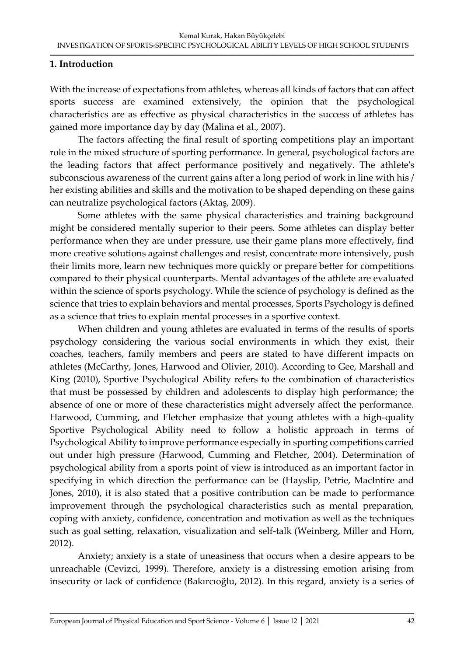## **1. Introduction**

With the increase of expectations from athletes, whereas all kinds of factors that can affect sports success are examined extensively, the opinion that the psychological characteristics are as effective as physical characteristics in the success of athletes has gained more importance day by day (Malina et al., 2007).

The factors affecting the final result of sporting competitions play an important role in the mixed structure of sporting performance. In general, psychological factors are the leading factors that affect performance positively and negatively. The athlete's subconscious awareness of the current gains after a long period of work in line with his / her existing abilities and skills and the motivation to be shaped depending on these gains can neutralize psychological factors (Aktaş, 2009).

Some athletes with the same physical characteristics and training background might be considered mentally superior to their peers. Some athletes can display better performance when they are under pressure, use their game plans more effectively, find more creative solutions against challenges and resist, concentrate more intensively, push their limits more, learn new techniques more quickly or prepare better for competitions compared to their physical counterparts. Mental advantages of the athlete are evaluated within the science of sports psychology. While the science of psychology is defined as the science that tries to explain behaviors and mental processes, Sports Psychology is defined as a science that tries to explain mental processes in a sportive context.

When children and young athletes are evaluated in terms of the results of sports psychology considering the various social environments in which they exist, their coaches, teachers, family members and peers are stated to have different impacts on athletes (McCarthy, Jones, Harwood and Olivier, 2010). According to Gee, Marshall and King (2010), Sportive Psychological Ability refers to the combination of characteristics that must be possessed by children and adolescents to display high performance; the absence of one or more of these characteristics might adversely affect the performance. Harwood, Cumming, and Fletcher emphasize that young athletes with a high-quality Sportive Psychological Ability need to follow a holistic approach in terms of Psychological Ability to improve performance especially in sporting competitions carried out under high pressure (Harwood, Cumming and Fletcher, 2004). Determination of psychological ability from a sports point of view is introduced as an important factor in specifying in which direction the performance can be (Hayslip, Petrie, MacIntire and Jones, 2010), it is also stated that a positive contribution can be made to performance improvement through the psychological characteristics such as mental preparation, coping with anxiety, confidence, concentration and motivation as well as the techniques such as goal setting, relaxation, visualization and self-talk (Weinberg, Miller and Horn, 2012).

Anxiety; anxiety is a state of uneasiness that occurs when a desire appears to be unreachable (Cevizci, 1999). Therefore, anxiety is a distressing emotion arising from insecurity or lack of confidence (Bakırcıoğlu, 2012). In this regard, anxiety is a series of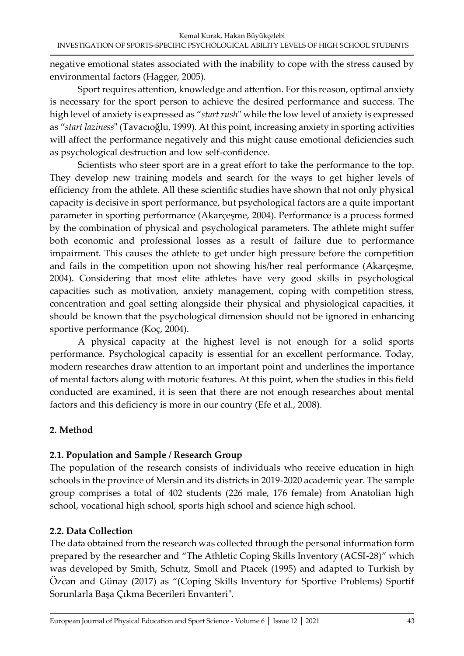negative emotional states associated with the inability to cope with the stress caused by environmental factors (Hagger, 2005).

Sport requires attention, knowledge and attention. For this reason, optimal anxiety is necessary for the sport person to achieve the desired performance and success. The high level of anxiety is expressed as "*start rush*" while the low level of anxiety is expressed as "*start laziness*" (Tavacıoğlu, 1999). At this point, increasing anxiety in sporting activities will affect the performance negatively and this might cause emotional deficiencies such as psychological destruction and low self-confidence.

Scientists who steer sport are in a great effort to take the performance to the top. They develop new training models and search for the ways to get higher levels of efficiency from the athlete. All these scientific studies have shown that not only physical capacity is decisive in sport performance, but psychological factors are a quite important parameter in sporting performance (Akarçeşme, 2004). Performance is a process formed by the combination of physical and psychological parameters. The athlete might suffer both economic and professional losses as a result of failure due to performance impairment. This causes the athlete to get under high pressure before the competition and fails in the competition upon not showing his/her real performance (Akarçeşme, 2004). Considering that most elite athletes have very good skills in psychological capacities such as motivation, anxiety management, coping with competition stress, concentration and goal setting alongside their physical and physiological capacities, it should be known that the psychological dimension should not be ignored in enhancing sportive performance (Koç, 2004).

A physical capacity at the highest level is not enough for a solid sports performance. Psychological capacity is essential for an excellent performance. Today, modern researches draw attention to an important point and underlines the importance of mental factors along with motoric features. At this point, when the studies in this field conducted are examined, it is seen that there are not enough researches about mental factors and this deficiency is more in our country (Efe et al., 2008).

# **2. Method**

# **2.1. Population and Sample / Research Group**

The population of the research consists of individuals who receive education in high schools in the province of Mersin and its districts in 2019-2020 academic year. The sample group comprises a total of 402 students (226 male, 176 female) from Anatolian high school, vocational high school, sports high school and science high school.

# **2.2. Data Collection**

The data obtained from the research was collected through the personal information form prepared by the researcher and "The Athletic Coping Skills Inventory (ACSI-28)" which was developed by Smith, Schutz, Smoll and Ptacek (1995) and adapted to Turkish by Özcan and Günay (2017) as "(Coping Skills Inventory for Sportive Problems) Sportif Sorunlarla Başa Çıkma Becerileri Envanteri".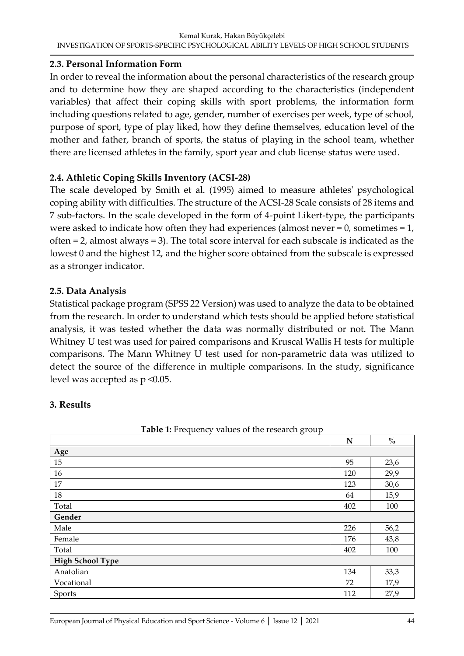## **2.3. Personal Information Form**

In order to reveal the information about the personal characteristics of the research group and to determine how they are shaped according to the characteristics (independent variables) that affect their coping skills with sport problems, the information form including questions related to age, gender, number of exercises per week, type of school, purpose of sport, type of play liked, how they define themselves, education level of the mother and father, branch of sports, the status of playing in the school team, whether there are licensed athletes in the family, sport year and club license status were used.

# **2.4. Athletic Coping Skills Inventory (ACSI-28)**

The scale developed by Smith et al. (1995) aimed to measure athletes' psychological coping ability with difficulties. The structure of the ACSI-28 Scale consists of 28 items and 7 sub-factors. In the scale developed in the form of 4-point Likert-type, the participants were asked to indicate how often they had experiences (almost never  $= 0$ , sometimes  $= 1$ , often = 2, almost always = 3). The total score interval for each subscale is indicated as the lowest 0 and the highest 12, and the higher score obtained from the subscale is expressed as a stronger indicator.

## **2.5. Data Analysis**

Statistical package program (SPSS 22 Version) was used to analyze the data to be obtained from the research. In order to understand which tests should be applied before statistical analysis, it was tested whether the data was normally distributed or not. The Mann Whitney U test was used for paired comparisons and Kruscal Wallis H tests for multiple comparisons. The Mann Whitney U test used for non-parametric data was utilized to detect the source of the difference in multiple comparisons. In the study, significance level was accepted as p <0.05.

### **3. Results**

|                         | ${\bf N}$ | $\%$ |
|-------------------------|-----------|------|
| Age                     |           |      |
| 15                      | 95        | 23,6 |
| 16                      | 120       | 29,9 |
| 17                      | 123       | 30,6 |
| $18\,$                  | 64        | 15,9 |
| Total                   | 402       | 100  |
| Gender                  |           |      |
| Male                    | 226       | 56,2 |
| Female                  | 176       | 43,8 |
| Total                   | 402       | 100  |
| <b>High School Type</b> |           |      |
| Anatolian               | 134       | 33,3 |
| Vocational              | 72        | 17,9 |
| <b>Sports</b>           | 112       | 27,9 |

**Table 1:** Frequency values of the research group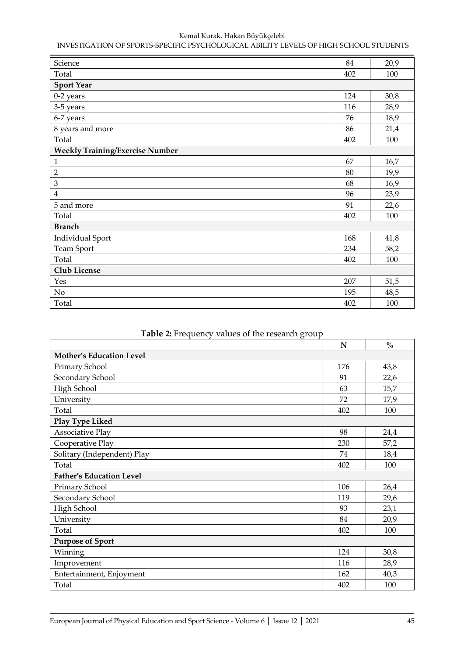| Science                                | 84  | 20,9 |
|----------------------------------------|-----|------|
| Total                                  | 402 | 100  |
| <b>Sport Year</b>                      |     |      |
| 0-2 years                              | 124 | 30,8 |
| 3-5 years                              | 116 | 28,9 |
| 6-7 years                              | 76  | 18,9 |
| 8 years and more                       | 86  | 21,4 |
| Total                                  | 402 | 100  |
| <b>Weekly Training/Exercise Number</b> |     |      |
| 1                                      | 67  | 16,7 |
| $\overline{2}$                         | 80  | 19,9 |
| 3                                      | 68  | 16,9 |
| $\overline{4}$                         | 96  | 23,9 |
| 5 and more                             | 91  | 22,6 |
| Total                                  | 402 | 100  |
| <b>Branch</b>                          |     |      |
| <b>Individual Sport</b>                | 168 | 41,8 |
| Team Sport                             | 234 | 58,2 |
| Total                                  | 402 | 100  |
| Club License                           |     |      |
| Yes                                    | 207 | 51,5 |
| $\rm No$                               | 195 | 48,5 |
| Total                                  | 402 | 100  |

|                                 | N   | $\frac{0}{0}$ |
|---------------------------------|-----|---------------|
| <b>Mother's Education Level</b> |     |               |
| Primary School                  | 176 | 43,8          |
| Secondary School                | 91  | 22,6          |
| High School                     | 63  | 15,7          |
| University                      | 72  | 17,9          |
| Total                           | 402 | 100           |
| Play Type Liked                 |     |               |
| <b>Associative Play</b>         | 98  | 24,4          |
| Cooperative Play                | 230 | 57,2          |
| Solitary (Independent) Play     | 74  | 18,4          |
| Total                           | 402 | 100           |
| <b>Father's Education Level</b> |     |               |
| Primary School                  | 106 | 26,4          |
| Secondary School                | 119 | 29,6          |
| High School                     | 93  | 23,1          |
| University                      | 84  | 20,9          |
| Total                           | 402 | 100           |
| <b>Purpose of Sport</b>         |     |               |
| Winning                         | 124 | 30,8          |
| Improvement                     | 116 | 28,9          |
| Entertainment, Enjoyment        | 162 | 40,3          |
| Total                           | 402 | 100           |

## **Table 2:** Frequency values of the research group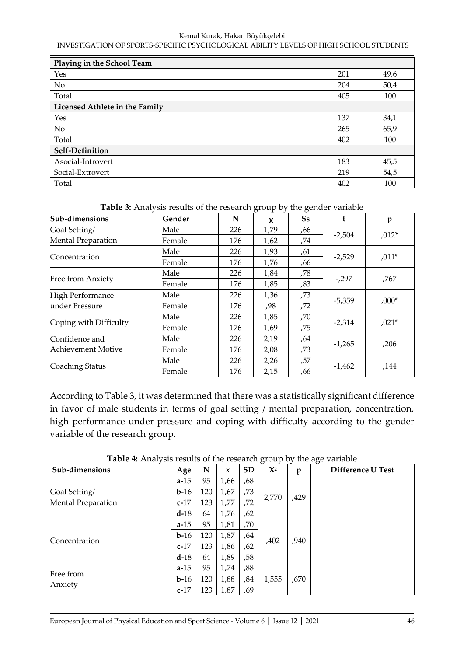| Playing in the School Team     |     |      |  |  |  |  |  |  |
|--------------------------------|-----|------|--|--|--|--|--|--|
| Yes                            | 201 | 49,6 |  |  |  |  |  |  |
| No                             | 204 | 50,4 |  |  |  |  |  |  |
| Total                          | 405 | 100  |  |  |  |  |  |  |
| Licensed Athlete in the Family |     |      |  |  |  |  |  |  |
| Yes                            | 137 | 34,1 |  |  |  |  |  |  |
| No                             | 265 | 65,9 |  |  |  |  |  |  |
| Total                          | 402 | 100  |  |  |  |  |  |  |
| Self-Definition                |     |      |  |  |  |  |  |  |
| Asocial-Introvert              | 183 | 45,5 |  |  |  |  |  |  |
| Social-Extrovert               | 219 | 54,5 |  |  |  |  |  |  |
| Total                          | 402 | 100  |  |  |  |  |  |  |

**Table 3:** Analysis results of the research group by the gender variable

| Sub-dimensions            | Gender | N   | X    | Ss  | t        | p       |  |
|---------------------------|--------|-----|------|-----|----------|---------|--|
| Goal Setting/             | Male   | 226 | 1,79 | ,66 |          | $,012*$ |  |
| <b>Mental Preparation</b> | Female | 176 | 1,62 | ,74 | $-2,504$ |         |  |
|                           | Male   | 226 | 1,93 | ,61 |          |         |  |
| Concentration             | Female | 176 | 1,76 | ,66 | $-2,529$ | $,011*$ |  |
|                           | Male   | 226 | 1,84 | ,78 |          |         |  |
| Free from Anxiety         | Female | 176 | 1,85 | ,83 | $-297$   | ,767    |  |
| High Performance          | Male   | 226 | 1,36 | ,73 |          |         |  |
| under Pressure            | Female | 176 | ,98  | ,72 | $-5,359$ | $,000*$ |  |
|                           | Male   | 226 | 1,85 | ,70 |          |         |  |
| Coping with Difficulty    | Female | 176 | 1,69 | ,75 | $-2,314$ | $,021*$ |  |
| Confidence and            | Male   | 226 | 2,19 | ,64 |          |         |  |
| Achievement Motive        | Female | 176 | 2,08 | ,73 | $-1,265$ | ,206    |  |
|                           | Male   | 226 | 2,26 | ,57 |          |         |  |
| Coaching Status           | Female | 176 | 2,15 | ,66 | $-1,462$ | ,144    |  |

According to Table 3, it was determined that there was a statistically significant difference in favor of male students in terms of goal setting / mental preparation, concentration, high performance under pressure and coping with difficulty according to the gender variable of the research group.

| Sub-dimensions            | Age      | N   | $\bar{x}$ | <b>SD</b> | $\mathbf{X}^2$ | D    | Difference U Test |
|---------------------------|----------|-----|-----------|-----------|----------------|------|-------------------|
|                           | $a-15$   | 95  | 1,66      | ,68       |                |      |                   |
| Goal Setting/             | $b-16$   | 120 | 1,67      | ,73       |                |      |                   |
| <b>Mental Preparation</b> | $c-17$   | 123 | 1,77      | ,72       | 2,770          | ,429 |                   |
|                           | $d-18$   | 64  | 1,76      | ,62       |                |      |                   |
|                           | $a-15$   | 95  | 1,81      | ,70       |                |      |                   |
|                           | $b-16$   | 120 | 1,87      | ,64       |                | ,940 |                   |
| Concentration             | $c-17$   | 123 | 1,86      | ,62       | ,402           |      |                   |
|                           | $d-18$   | 64  | 1,89      | ,58       |                |      |                   |
|                           | $a - 15$ | 95  | 1,74      | ,88       |                |      |                   |
| Free from                 | $b-16$   | 120 | 1,88      | ,84       | 1,555          | ,670 |                   |
| Anxiety                   | $c-17$   | 123 | 1,87      | ,69       |                |      |                   |

**Table 4:** Analysis results of the research group by the age variable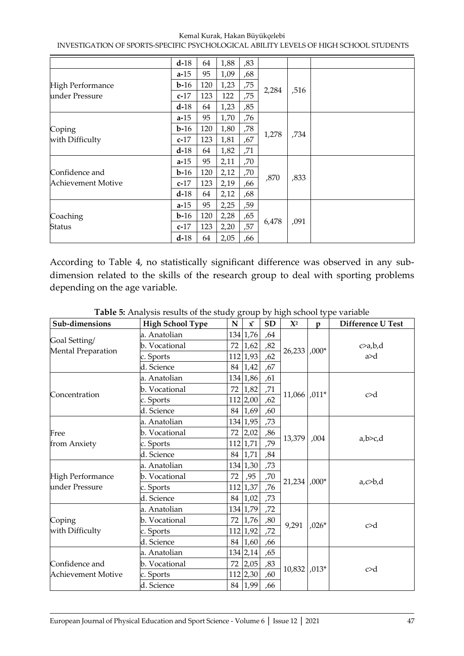Kemal Kurak, Hakan Büyükçelebi

INVESTIGATION OF SPORTS-SPECIFIC PSYCHOLOGICAL ABILITY LEVELS OF HIGH SCHOOL STUDENTS

|                         | $d-18$ | 64  | 1,88 | ,83 |       |      |  |  |  |
|-------------------------|--------|-----|------|-----|-------|------|--|--|--|
|                         | $a-15$ | 95  | 1,09 | ,68 |       |      |  |  |  |
| <b>High Performance</b> | $b-16$ | 120 | 1,23 | ,75 |       |      |  |  |  |
| under Pressure          | $c-17$ | 123 | 122  | ,75 | 2,284 | ,516 |  |  |  |
|                         | $d-18$ | 64  | 1,23 | ,85 |       |      |  |  |  |
|                         | $a-15$ | 95  | 1,70 | ,76 |       |      |  |  |  |
| Coping                  | $b-16$ | 120 | 1,80 | ,78 |       | ,734 |  |  |  |
| with Difficulty         | $c-17$ | 123 | 1,81 | ,67 | 1,278 |      |  |  |  |
|                         | $d-18$ | 64  | 1,82 | ,71 |       |      |  |  |  |
|                         | $a-15$ | 95  | 2,11 | ,70 |       |      |  |  |  |
| Confidence and          | $b-16$ | 120 | 2,12 | ,70 |       |      |  |  |  |
| Achievement Motive      | $c-17$ | 123 | 2,19 | ,66 | ,870  | ,833 |  |  |  |
|                         | $d-18$ | 64  | 2,12 | ,68 |       |      |  |  |  |
|                         | $a-15$ | 95  | 2,25 | ,59 |       |      |  |  |  |
| Coaching                | $b-16$ | 120 | 2,28 | ,65 |       | ,091 |  |  |  |
| Status                  | $c-17$ | 123 | 2,20 | ,57 | 6,478 |      |  |  |  |
|                         | $d-18$ | 64  | 2,05 | ,66 |       |      |  |  |  |

According to Table 4, no statistically significant difference was observed in any subdimension related to the skills of the research group to deal with sporting problems depending on the age variable.

| Sub-dimensions            | <b>High School Type</b>                                                 | N   | $\bar{\mathbf{x}}$ | <b>SD</b> | $\mathbf{X}^2$  | $\mathbf{p}$ | Difference U Test |
|---------------------------|-------------------------------------------------------------------------|-----|--------------------|-----------|-----------------|--------------|-------------------|
|                           | a. Anatolian                                                            |     | 134 1,76           | ,64       |                 |              |                   |
| Goal Setting/             | b. Vocational                                                           | 72  | 1,62               | ,82       |                 |              | c>a,b,d           |
| <b>Mental Preparation</b> | c. Sports                                                               |     | 112 1,93           | ,62       | 26,233          | $,000*$      | a > d             |
|                           | d. Science                                                              | 84  | 1,42               | ,67       |                 |              |                   |
|                           | 134 1,86<br>a. Anatolian<br>,61<br> 1,82 <br>b. Vocational<br>,71<br>72 |     |                    |           |                 |              |                   |
| Concentration             |                                                                         |     |                    |           | c > d           |              |                   |
|                           | c. Sports                                                               |     | $112$ 2,00         | ,62       | $11,066$ , 011* |              |                   |
|                           | d. Science                                                              | 84  | 1,69               | ,60       |                 |              |                   |
|                           | a. Anatolian                                                            |     | 134 1,95           | ,73       |                 |              |                   |
| Free                      | b. Vocational                                                           | 72  | 2,02               | ,86       | 13,379          | ,004         |                   |
| from Anxiety              | c. Sports                                                               |     | 112 1,71           | ,79       |                 |              | a,b>c,d           |
|                           | d. Science                                                              | 84  | 1,71               | ,84       |                 |              |                   |
|                           | a. Anatolian                                                            |     | 134 1,30           | ,73       |                 |              |                   |
| <b>High Performance</b>   | b. Vocational                                                           | 72  | ,95                | ,70       |                 |              |                   |
| under Pressure            | c. Sports                                                               | 112 | 1,37               | ,76       | $21,234$ ,000*  |              | $a, c$ b,d        |
|                           | d. Science                                                              | 84  | 1,02               | ,73       |                 |              |                   |
|                           | a. Anatolian                                                            |     | 134 1,79           | ,72       |                 |              |                   |
| Coping                    | b. Vocational                                                           | 72  | 1,76               | ,80       | 9,291           |              | c > d             |
| with Difficulty           | c. Sports                                                               | 112 | 1,92               | ,72       |                 | $,026*$      |                   |
|                           | d. Science                                                              | 84  | 1,60               | ,66       |                 |              |                   |
|                           | a. Anatolian                                                            |     | 134 2,14           | ,65       |                 |              |                   |
| Confidence and            | b. Vocational                                                           | 72  | 2,05               | ,83       |                 |              |                   |
| <b>Achievement Motive</b> | c. Sports                                                               |     | $112$ 2,30         | ,60       | 10,832          | $,013*$      | c > d             |
|                           | d. Science                                                              |     | 84 1,99            | ,66       |                 |              |                   |

**Table 5:** Analysis results of the study group by high school type variable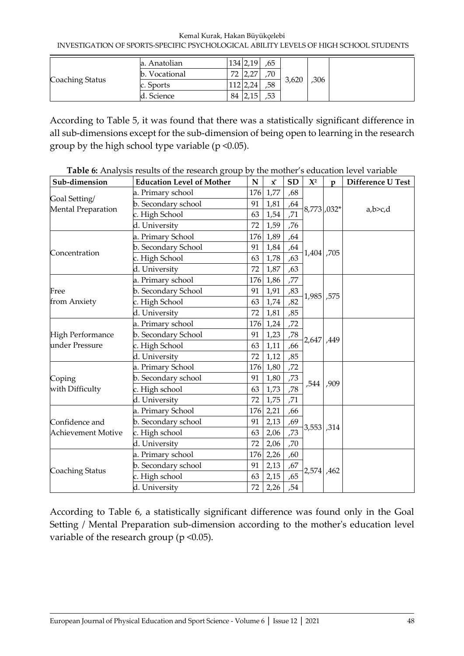|                 | a. Anatolian                 |         | 134 2,19       | ,65 |       |      |
|-----------------|------------------------------|---------|----------------|-----|-------|------|
|                 | Vocational<br>$\mathbf{b}$ . | 70<br>∠ | $\sim$<br>$-1$ | ,70 | 3,620 |      |
| Coaching Status | c. Sports                    |         | 12 2,24        | ,58 |       | ,306 |
|                 | . Science                    | 84      |                | ,53 |       |      |

According to Table 5, it was found that there was a statistically significant difference in all sub-dimensions except for the sub-dimension of being open to learning in the research group by the high school type variable ( $p \le 0.05$ ).

| Sub-dimension             | <b>Education Level of Mother</b> | ${\bf N}$ | $\bar{\mathbf{x}}$ | <b>SD</b>       | $\mathbf{X}^2$ | $\mathbf{p}$ | Difference U Test |
|---------------------------|----------------------------------|-----------|--------------------|-----------------|----------------|--------------|-------------------|
|                           | a. Primary school                | 176       | 1,77               | ,68             |                |              |                   |
| Goal Setting/             | b. Secondary school              | 91        | 1,81               | ,64             |                |              |                   |
| Mental Preparation        | c. High School                   | 63        | 1,54               | $\overline{71}$ | 8,773,032*     |              | a,b>c,d           |
| Concentration             | d. University                    | 72        | 1,59               | ,76             |                |              |                   |
|                           | a. Primary School                | 176       | 1,89               | ,64             |                |              |                   |
|                           | b. Secondary School              | 91        | 1,84               | ,64             | 1,404,705      |              |                   |
|                           | c. High School                   | 63        | 1,78               | ,63             |                |              |                   |
|                           | d. University                    | 72        | 1,87               | ,63             |                |              |                   |
|                           | a. Primary school                | 176       | 1,86               | ,77             |                |              |                   |
| Free                      | b. Secondary School              | 91        | 1,91               | ,83             | 1,985,575      |              |                   |
| from Anxiety              | c. High School                   | 63        | 1,74               | ,82             |                |              |                   |
|                           | d. University                    | 72        | 1,81               | ,85             |                |              |                   |
|                           | a. Primary school                | 176       | 1,24               | ,72             | 2,647,449      |              |                   |
| High Performance          | b. Secondary School              | 91        | 1,23               | ,78             |                |              |                   |
| under Pressure            | c. High School                   | 63        | 1,11               | ,66             |                |              |                   |
|                           | d. University                    | 72        | 1,12               | ,85             |                |              |                   |
|                           | a. Primary School                | 176       | 1,80               | ,72             |                |              |                   |
| Coping                    | b. Secondary school              | 91        | 1,80               | ,73             | ,544           | ,909         |                   |
| with Difficulty           | c. High school                   | 63        | 1,73               | ,78             |                |              |                   |
|                           | d. University                    | 72        | 1,75               | ,71             |                |              |                   |
|                           | a. Primary School                | 176       | 2,21               | ,66             |                |              |                   |
| Confidence and            | b. Secondary school              | 91        | 2,13               | ,69             |                |              |                   |
| <b>Achievement Motive</b> | c. High school                   | 63        | 2,06               | ,73             | 3,553, 314     |              |                   |
|                           | d. University                    | 72        | 2,06               | ,70             |                |              |                   |
|                           | a. Primary school                | 176       | 2,26               | ,60             |                |              |                   |
|                           | b. Secondary school              | 91        | 2,13               | ,67             |                |              |                   |
| Coaching Status           | c. High school                   | 63        | 2,15               | ,65             | 2,574, 462     |              |                   |
|                           | d. University                    | 72        | 2,26               | , 54            |                |              |                   |

**Table 6:** Analysis results of the research group by the mother's education level variable

According to Table 6, a statistically significant difference was found only in the Goal Setting / Mental Preparation sub-dimension according to the mother's education level variable of the research group (p < 0.05).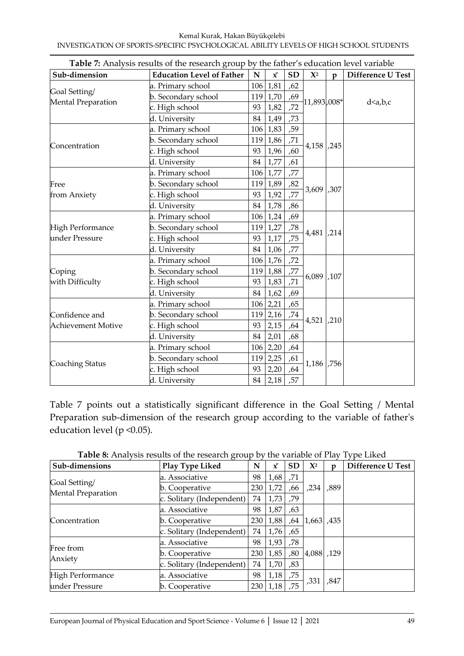| Sub-dimension                       | <b>Education Level of Father</b> | $\mathbf N$            | $\bar{x}$       | <b>SD</b> | $\mathbf{X}^2$ | $\mathbf{p}$ | Difference U Test |  |
|-------------------------------------|----------------------------------|------------------------|-----------------|-----------|----------------|--------------|-------------------|--|
|                                     | a. Primary school                |                        | 106 1,81        | ,62       |                |              |                   |  |
| Goal Setting/<br>Mental Preparation | b. Secondary school              |                        | $119$ 1,70      | ,69       | $-11,893,008*$ |              |                   |  |
|                                     | c. High school                   | 93                     | 1,82            | , 72      |                |              | d < a,b,c         |  |
|                                     | d. University                    | 84                     | 1,49            | ,73       |                |              |                   |  |
|                                     | a. Primary school                |                        | $106 \mid 1,83$ | ,59       |                |              |                   |  |
| Concentration                       | b. Secondary school              |                        | 119 1,86        | ,71       | 4,158,245      |              |                   |  |
|                                     | c. High school                   | 93                     | 1,96            | ,60       |                |              |                   |  |
|                                     | d. University                    | 84                     | 1,77            | ,61       |                |              |                   |  |
|                                     | a. Primary school                |                        | 106 1,77        | ,77       |                |              |                   |  |
| Free                                | b. Secondary school              |                        | 119 1,89        | ,82       | 3,609          |              |                   |  |
| from Anxiety                        | c. High school                   | 93                     | 1,92            | ,77       |                | ,307         |                   |  |
|                                     | d. University                    | 84                     | 1,78            | ,86       |                |              |                   |  |
|                                     | a. Primary school                | $106 \mid 1,24$<br>,69 |                 |           |                |              |                   |  |
| High Performance                    | b. Secondary school              | 119                    | 1,27            | ,78       | 4,481,214      |              |                   |  |
| under Pressure                      | c. High school                   | 93                     | 1,17            | ,75       |                |              |                   |  |
|                                     | d. University                    | 84                     | 1,06            | ,77       |                |              |                   |  |
|                                     | a. Primary school                |                        | $106 \mid 1,76$ | ,72       |                |              |                   |  |
| Coping                              | b. Secondary school              |                        | 119 1,88        | ,77       | 6,089          | ,107         |                   |  |
| with Difficulty                     | c. High school                   | 93                     | 1,83            | ,71       |                |              |                   |  |
|                                     | d. University                    | 84                     | 1,62            | ,69       |                |              |                   |  |
|                                     | a. Primary school                |                        | $106$ 2,21      | ,65       |                |              |                   |  |
| Confidence and                      | b. Secondary school              |                        | $119$ 2,16      | ,74       | 4,521          | ,210         |                   |  |
| <b>Achievement Motive</b>           | c. High school                   | 93                     | 2,15            | ,64       |                |              |                   |  |
|                                     | d. University                    | 84                     | 2,01            | ,68       |                |              |                   |  |
|                                     | a. Primary school                |                        | $106$ 2,20      | ,64       |                |              |                   |  |
|                                     | b. Secondary school              |                        | $119$ 2,25      | ,61       |                |              |                   |  |
| Coaching Status                     | c. High school                   | 93                     | 2,20            | ,64       | 1,186          | ,756         |                   |  |
|                                     | d. University                    | 84                     | 2,18            | ,57       |                |              |                   |  |

**Table 7:** Analysis results of the research group by the father's education level variable

Table 7 points out a statistically significant difference in the Goal Setting / Mental Preparation sub-dimension of the research group according to the variable of father's education level (p <0.05).

|  | Table 8: Analysis results of the research group by the variable of Play Type Liked |  |  |  |  |
|--|------------------------------------------------------------------------------------|--|--|--|--|
|  |                                                                                    |  |  |  |  |

|                                     | $\epsilon$                |     |           |           |                |      |                   |
|-------------------------------------|---------------------------|-----|-----------|-----------|----------------|------|-------------------|
| Sub-dimensions                      | Play Type Liked           | N   | $\bar{x}$ | <b>SD</b> | $\mathbf{X}^2$ | p    | Difference U Test |
|                                     | a. Associative            | 98  | 1,68      | ,71       |                |      |                   |
| Goal Setting/<br>Mental Preparation | b. Cooperative            | 230 | 1,72      | ,66       | ,234           | ,889 |                   |
|                                     | c. Solitary (Independent) | 74  | 1,73      | .79       |                |      |                   |
|                                     | a. Associative            | 98  | 1,87      | ,63       |                |      |                   |
| Concentration                       | b. Cooperative            | 230 | 1,88      | ,64       | 1,663, 435     |      |                   |
|                                     | c. Solitary (Independent) | 74  | 1,76      | ,65       |                |      |                   |
|                                     | a. Associative            | 98  | 1,93      | ,78       |                |      |                   |
| Free from                           | b. Cooperative            | 230 | 1,85      | ,80       | 4,088, 129     |      |                   |
| Anxiety                             | c. Solitary (Independent) | 74  | 1,70      | ,83       |                |      |                   |
| <b>High Performance</b>             | a. Associative            | 98  | 1,18      | ,75       |                |      |                   |
| under Pressure                      | b. Cooperative            | 230 | 1,18      | .75       | ,331           | ,847 |                   |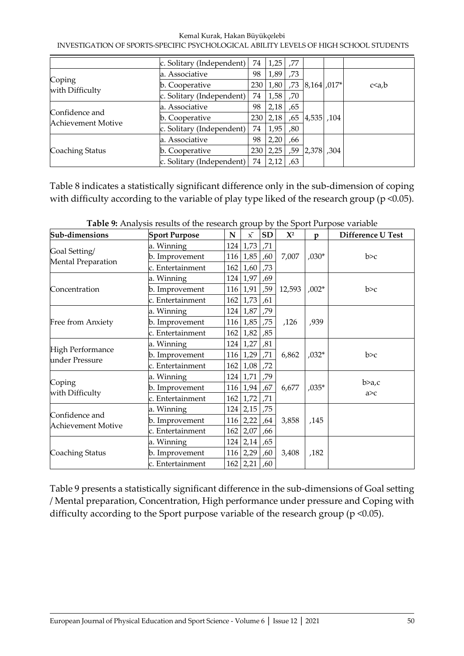|                                      | c. Solitary (Independent) | 74  | $1,25$ , 77 |     |                                         |             |
|--------------------------------------|---------------------------|-----|-------------|-----|-----------------------------------------|-------------|
|                                      | a. Associative            | 98  | 1,89        | ,73 |                                         |             |
| Coping<br>with Difficulty            | b. Cooperative            | 230 |             |     | $1,80$ , 73 $ 8,164$ , 017 <sup>*</sup> | $c \le a,b$ |
|                                      | c. Solitary (Independent) | 74  | $1,58$ , 70 |     |                                         |             |
|                                      | a. Associative            | 98  | 2,18        | ,65 |                                         |             |
| Confidence and<br>Achievement Motive | b. Cooperative            | 230 | 2,18        | .65 | 4,535, 104                              |             |
|                                      | c. Solitary (Independent) | 74  | 1,95        | ,80 |                                         |             |
|                                      | a. Associative            | 98  | 2,20        | ,66 |                                         |             |
| Coaching Status                      | b. Cooperative            | 230 | 2,25        | ,59 | 2,378, 304                              |             |
|                                      | c. Solitary (Independent) | 74  | 2,12        | .63 |                                         |             |

Table 8 indicates a statistically significant difference only in the sub-dimension of coping with difficulty according to the variable of play type liked of the research group (p <0.05).

| Sub-dimensions                              | <b>Sport Purpose</b> | N   | $\bar{x}$       | <b>SD</b> | $\mathbf{X}^2$ | p       | Difference U Test |  |
|---------------------------------------------|----------------------|-----|-----------------|-----------|----------------|---------|-------------------|--|
|                                             | a. Winning           | 124 | 1,73            | ,71       |                |         |                   |  |
| Goal Setting/                               | b. Improvement       | 116 | 1,85            | ,60       | 7,007          | $,030*$ | b>c               |  |
| Mental Preparation                          | c. Entertainment     | 162 | 1,60            | ,73       |                |         |                   |  |
|                                             | a. Winning           |     | 124 1,97        | ,69       |                |         |                   |  |
| Concentration                               | b. Improvement       | 116 | 1,91            | ,59       | 12,593         | $,002*$ | b>c               |  |
|                                             | c. Entertainment     | 162 | 1,73            | ,61       |                |         |                   |  |
| Free from Anxiety                           | a. Winning           | 124 | 1,87            | ,79       |                |         |                   |  |
|                                             | b. Improvement       |     | $116 \mid 1,85$ | ,75       | ,126           | ,939    |                   |  |
|                                             | c. Entertainment     | 162 | 1,82            | ,85       |                |         |                   |  |
|                                             | a. Winning           | 124 | 1,27            | ,81       |                |         |                   |  |
| <b>High Performance</b><br>under Pressure   | b. Improvement       | 116 | 1,29            | ,71       | 6,862          | $,032*$ | b>c               |  |
|                                             | c. Entertainment     | 162 | 1,08            | ,72       |                |         |                   |  |
|                                             | a. Winning           |     | $124 \mid 1,71$ | ,79       |                |         |                   |  |
| Coping                                      | b. Improvement       |     | 116 1,94        | ,67       | 6,677          | $,035*$ | b>a,c             |  |
| with Difficulty                             | c. Entertainment     | 162 | 1,72            | ,71       |                |         | a > c             |  |
|                                             | a. Winning           |     | $124 \mid 2,15$ | ,75       |                |         |                   |  |
| Confidence and<br><b>Achievement Motive</b> | b. Improvement       | 116 | 2,22            | ,64       | 3,858          | ,145    |                   |  |
|                                             | c. Entertainment     | 162 | 2,07            | ,66       |                |         |                   |  |
|                                             | a. Winning           | 124 | 2,14            | ,65       |                |         |                   |  |
| Coaching Status                             | b. Improvement       | 116 | 2,29            | ,60       | 3,408          | ,182    |                   |  |
|                                             | c. Entertainment     | 162 | 2,21            | ,60       |                |         |                   |  |

**Table 9:** Analysis results of the research group by the Sport Purpose variable

Table 9 presents a statistically significant difference in the sub-dimensions of Goal setting / Mental preparation, Concentration, High performance under pressure and Coping with difficulty according to the Sport purpose variable of the research group (p <0.05).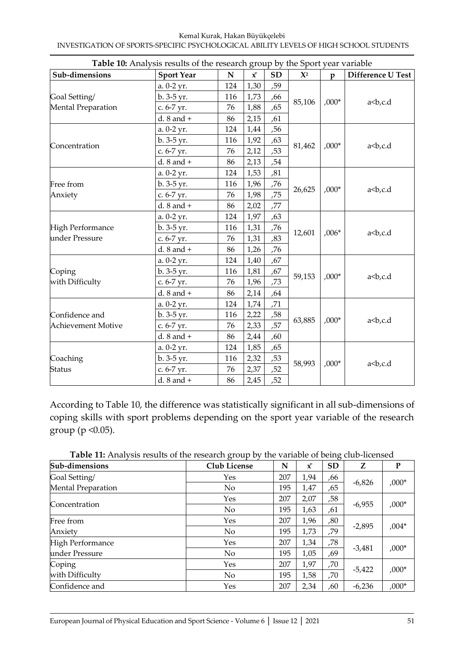|                           |                   | <b>Table 10:</b> Analysis results of the research group by the Sport year variable |           |           |                |         |                           |  |  |
|---------------------------|-------------------|------------------------------------------------------------------------------------|-----------|-----------|----------------|---------|---------------------------|--|--|
| Sub-dimensions            | <b>Sport Year</b> | ${\bf N}$                                                                          | $\bar{x}$ | <b>SD</b> | $\mathbf{X}^2$ | p       | Difference U Test         |  |  |
|                           | a. 0-2 yr.        | 124                                                                                | 1,30      | ,59       |                |         |                           |  |  |
| Goal Setting/             | b. 3-5 yr.        | 116                                                                                | 1,73      | ,66       | 85,106         | $,000*$ | a <b,c.d< td=""></b,c.d<> |  |  |
| Mental Preparation        | c. 6-7 yr.        | 76                                                                                 | 1,88      | ,65       |                |         |                           |  |  |
|                           | $d. 8$ and $+$    | 86                                                                                 | 2,15      | ,61       |                |         |                           |  |  |
|                           | a. 0-2 yr.        | 124                                                                                | 1,44      | ,56       |                |         |                           |  |  |
|                           | $b. 3-5 yr.$      | 116                                                                                | 1,92      | ,63       |                |         |                           |  |  |
| Concentration             | c. 6-7 yr.        | 76                                                                                 | 2,12      | ,53       | 81,462         | $,000*$ | a <b,c.d< td=""></b,c.d<> |  |  |
|                           | $d. 8$ and $+$    | 86                                                                                 | 2,13      | ,54       |                |         |                           |  |  |
|                           | a. 0-2 yr.        | 124                                                                                | 1,53      | ,81       |                |         |                           |  |  |
| Free from                 | b. 3-5 yr.        | 116                                                                                | 1,96      | ,76       |                |         |                           |  |  |
| Anxiety                   | c. 6-7 yr.        | 76                                                                                 | 1,98      | ,75       | 26,625         | $,000*$ | a <b,c.d< td=""></b,c.d<> |  |  |
|                           | $d. 8$ and $+$    | 86                                                                                 | 2,02      | ,77       |                |         |                           |  |  |
|                           | a. 0-2 yr.        | 124                                                                                | 1,97      | ,63       |                |         |                           |  |  |
| <b>High Performance</b>   | b. 3-5 yr.        | 116                                                                                | 1,31      | ,76       | 12,601         | $,006*$ |                           |  |  |
| under Pressure            | c. 6-7 yr.        | 76                                                                                 | 1,31      | ,83       |                |         | a <b,c.d< td=""></b,c.d<> |  |  |
|                           | d. $8$ and $+$    | 86                                                                                 | 1,26      | ,76       |                |         |                           |  |  |
|                           | a. 0-2 yr.        | 124                                                                                | 1,40      | ,67       |                |         |                           |  |  |
| Coping                    | b. 3-5 yr.        | 116                                                                                | 1,81      | ,67       | 59,153         | $,000*$ |                           |  |  |
| with Difficulty           | c. 6-7 yr.        | 76                                                                                 | 1,96      | ,73       |                |         | a <b,c.d< td=""></b,c.d<> |  |  |
|                           | d. $8$ and $+$    | 86                                                                                 | 2,14      | ,64       |                |         |                           |  |  |
|                           | a. 0-2 yr.        | 124                                                                                | 1,74      | ,71       |                |         |                           |  |  |
| Confidence and            | b. 3-5 yr.        | 116                                                                                | 2,22      | ,58       |                |         |                           |  |  |
| <b>Achievement Motive</b> | c. 6-7 yr.        | 76                                                                                 | 2,33      | ,57       | 63,885         | $,000*$ | a <b,c.d< td=""></b,c.d<> |  |  |
|                           | d. $8$ and $+$    | 86                                                                                 | 2,44      | ,60       |                |         |                           |  |  |
|                           | a. 0-2 yr.        | 124                                                                                | 1,85      | ,65       |                |         |                           |  |  |
| Coaching                  | b. 3-5 yr.        | 116                                                                                | 2,32      | ,53       |                |         |                           |  |  |
| <b>Status</b>             | c. 6-7 yr.        | 76                                                                                 | 2,37      | ,52       | 58,993         | $,000*$ | a <b,c.d< td=""></b,c.d<> |  |  |
|                           | d. $8$ and $+$    | 86                                                                                 | 2,45      | ,52       |                |         |                           |  |  |

**Table 10:** Analysis results of the research group by the Sport year variable

According to Table 10, the difference was statistically significant in all sub-dimensions of coping skills with sport problems depending on the sport year variable of the research group ( $p \le 0.05$ ).

**Table 11:** Analysis results of the research group by the variable of being club-licensed

| Sub-dimensions            | Club License   | N   | $\bar{x}$ | <b>SD</b> | Z        | P       |
|---------------------------|----------------|-----|-----------|-----------|----------|---------|
| Goal Setting/             | Yes            | 207 | 1,94      | ,66       |          |         |
| <b>Mental Preparation</b> | No             | 195 | 1,47      | ,65       | $-6,826$ | $,000*$ |
|                           | Yes            | 207 | 2,07      | ,58       |          |         |
| Concentration             | No             | 195 | 1,63      | ,61       | $-6,955$ | $,000*$ |
| Free from                 | Yes            | 207 | 1,96      | ,80       |          |         |
| Anxiety                   | No             | 195 | 1,73      | ,79       | $-2,895$ | $,004*$ |
| <b>High Performance</b>   | Yes            | 207 | 1,34      | ,78       |          |         |
| under Pressure            | N <sub>o</sub> | 195 | 1,05      | ,69       | $-3,481$ | $,000*$ |
| Coping                    | Yes            | 207 | 1,97      | ,70       |          |         |
| with Difficulty           | No             | 195 | 1,58      | ,70       | $-5,422$ | $,000*$ |
| Confidence and            | Yes            | 207 | 2,34      | ,60       | $-6,236$ | $,000*$ |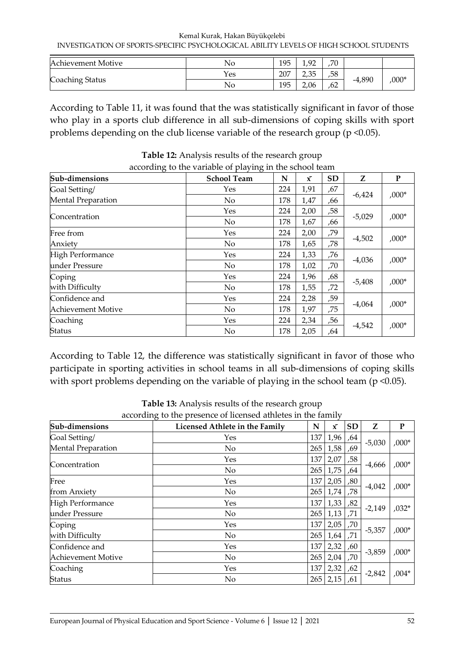Kemal Kurak, Hakan Büyükçelebi INVESTIGATION OF SPORTS-SPECIFIC PSYCHOLOGICAL ABILITY LEVELS OF HIGH SCHOOL STUDENTS

| Achievement Motive | No  | 195 | റ    | ,70 |          |         |
|--------------------|-----|-----|------|-----|----------|---------|
|                    | Yes | 207 | 2,35 | ,58 |          | $,000*$ |
| Coaching Status    | No  | 195 | 2,06 | ,62 | $-4,890$ |         |

According to Table 11, it was found that the was statistically significant in favor of those who play in a sports club difference in all sub-dimensions of coping skills with sport problems depending on the club license variable of the research group (p <0.05).

| Sub-dimensions            | <b>School Team</b> | N   | x    | <b>SD</b> | Z        | P       |
|---------------------------|--------------------|-----|------|-----------|----------|---------|
| Goal Setting/             | Yes                | 224 | 1,91 | ,67       |          |         |
| <b>Mental Preparation</b> | $\rm No$           | 178 | 1,47 | .66       | $-6,424$ | $,000*$ |
|                           | Yes                | 224 | 2,00 | ,58       |          |         |
| Concentration             | $\rm No$           | 178 | 1,67 | .66       | $-5,029$ | $,000*$ |
| Free from                 | Yes                | 224 | 2,00 | 79,       |          |         |
| Anxiety                   | $\rm No$           | 178 | 1,65 | ,78       | $-4,502$ | $,000*$ |
| High Performance          | Yes                | 224 | 1,33 | ,76       |          |         |
| under Pressure            | $\rm No$           | 178 | 1,02 | ,70       | $-4,036$ | $,000*$ |
| Coping                    | Yes                | 224 | 1,96 | ,68       |          |         |
| with Difficulty           | $\rm No$           | 178 | 1,55 | ,72       | $-5,408$ | $,000*$ |
| Confidence and            | Yes                | 224 | 2,28 | ,59       |          |         |
| <b>Achievement Motive</b> | No                 | 178 | 1,97 | ,75       | $-4,064$ | $,000*$ |
| Coaching                  | Yes                | 224 | 2,34 | ,56       |          |         |
| <b>Status</b>             | No                 | 178 | 2,05 | .64       | $-4,542$ | $,000*$ |

**Table 12:** Analysis results of the research group according to the variable of playing in the school team

According to Table 12, the difference was statistically significant in favor of those who participate in sporting activities in school teams in all sub-dimensions of coping skills with sport problems depending on the variable of playing in the school team ( $p \le 0.05$ ).

| Sub-dimensions            | Licensed Athlete in the Family | N   | $\bar{x}$ | <b>SD</b>       | Z        | ${\bf P}$ |
|---------------------------|--------------------------------|-----|-----------|-----------------|----------|-----------|
| Goal Setting/             | Yes                            | 137 | 1,96      | ,64             |          |           |
| <b>Mental Preparation</b> | No                             | 265 | 1,58      | ,69             | $-5,030$ | $,000*$   |
|                           | Yes                            | 137 | 2,07      | ,58             |          | $,000*$   |
| Concentration             | No                             | 265 | 1,75      | ,64             | $-4,666$ |           |
| Free                      | Yes                            | 137 | 2,05      | ,80             |          |           |
| from Anxiety              | No                             | 265 | 1,74      | ,78             | $-4,042$ | $,000*$   |
| <b>High Performance</b>   | Yes                            | 137 | 1,33      | ,82             |          | $,032*$   |
| under Pressure            | No                             | 265 | 1,13      | ,71             | $-2,149$ |           |
| Coping                    | Yes                            | 137 | 2,05      | ,70             |          | $,000*$   |
| with Difficulty           | No                             | 265 | 1,64      | ,71             | $-5,357$ |           |
| Confidence and            | Yes                            | 137 | 2,32      | ,60             |          |           |
| <b>Achievement Motive</b> | No                             | 265 | 2,04      | ,70             | $-3,859$ | $,000*$   |
| Coaching                  | Yes                            | 137 | 2,32      | ,62             |          |           |
| <b>Status</b>             | No                             | 265 | 2,15      | $-2,842$<br>,61 |          | $,004*$   |

**Table 13:** Analysis results of the research group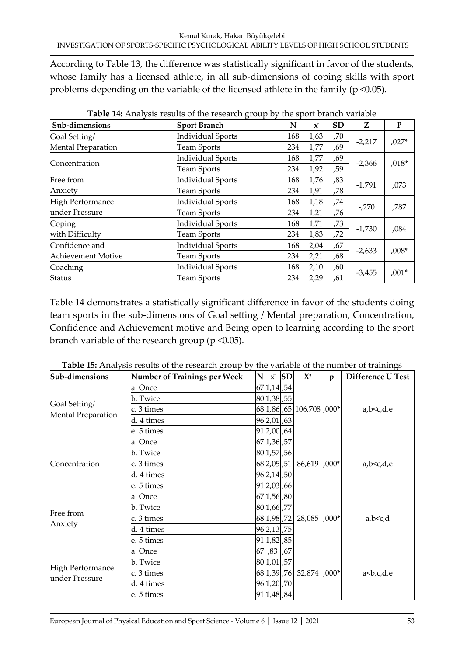According to Table 13, the difference was statistically significant in favor of the students, whose family has a licensed athlete, in all sub-dimensions of coping skills with sport problems depending on the variable of the licensed athlete in the family (p <0.05).

| Sub-dimensions            | <b>Sport Branch</b>      | N   | x    | <b>SD</b> | Z        | ${\bf P}$ |
|---------------------------|--------------------------|-----|------|-----------|----------|-----------|
| Goal Setting/             | <b>Individual Sports</b> | 168 | 1,63 | ,70       |          |           |
| <b>Mental Preparation</b> | <b>Team Sports</b>       | 234 | 1,77 | ,69       | $-2,217$ | $,027*$   |
|                           | <b>Individual Sports</b> | 168 | 1,77 | ,69       |          | $,018*$   |
| Concentration             | <b>Team Sports</b>       | 234 | 1,92 | ,59       | $-2,366$ |           |
| Free from                 | <b>Individual Sports</b> | 168 | 1,76 | ,83       |          |           |
| Anxiety                   | Team Sports              | 234 | 1,91 | ,78       | $-1,791$ | ,073      |
| <b>High Performance</b>   | Individual Sports        | 168 | 1,18 | ,74       |          |           |
| under Pressure            | <b>Team Sports</b>       | 234 | 1,21 | ,76       | $-270$   | ,787      |
| Coping                    | <b>Individual Sports</b> | 168 | 1,71 | ,73       |          |           |
| with Difficulty           | <b>Team Sports</b>       | 234 | 1,83 | ,72       | $-1,730$ | ,084      |
| Confidence and            | <b>Individual Sports</b> | 168 | 2,04 | ,67       |          |           |
| Achievement Motive        | Team Sports              | 234 | 2,21 | ,68       | $-2,633$ | $,008*$   |
| Coaching                  | <b>Individual Sports</b> | 168 | 2,10 | ,60       |          | $,001*$   |
| <b>Status</b>             | <b>Team Sports</b>       | 234 | 2,29 | ,61       | $-3,455$ |           |

**Table 14:** Analysis results of the research group by the sport branch variable

Table 14 demonstrates a statistically significant difference in favor of the students doing team sports in the sub-dimensions of Goal setting / Mental preparation, Concentration, Confidence and Achievement motive and Being open to learning according to the sport branch variable of the research group (p <0.05).

| Sub-dimensions          | <b>Number of Trainings per Week</b> | $N \times$ SD | $\mathbf{X}^2$                | D       | Difference U Test             |  |
|-------------------------|-------------------------------------|---------------|-------------------------------|---------|-------------------------------|--|
|                         | a. Once                             | 67 1,14 ,54   |                               |         |                               |  |
|                         | b. Twice                            | 80 1,38 ,55   |                               |         |                               |  |
| Goal Setting/           | c. 3 times                          |               | 68 1,86   65   106,708   000* |         | a,b < c,d,e                   |  |
| Mental Preparation      | d. 4 times                          | 96 2,01 ,63   |                               |         |                               |  |
|                         | e. 5 times                          | 91 2,00 ,64   |                               |         |                               |  |
|                         | a. Once                             | 67 1,36 ,57   |                               |         |                               |  |
|                         | b. Twice                            | 80 1,57,56    |                               |         |                               |  |
| Concentration           | c. 3 times                          |               | 68 2,05 51 86,619 000*        |         | a,b < c,d,e                   |  |
|                         | d. 4 times                          | 96 2,14 ,50   |                               |         |                               |  |
|                         | e. 5 times                          | 91 2,03 ,66   |                               |         |                               |  |
|                         | a. Once                             | 67 1,56 ,80   |                               |         |                               |  |
| Free from               | b. Twice                            | 801,66,77     |                               |         |                               |  |
|                         | lc. 3 times                         | 68 1,98 ,72   | 28,085                        | $,000*$ | $a,b \leq c,d$                |  |
| Anxiety                 | d. 4 times                          | 96 2,13 ,75   |                               |         |                               |  |
|                         | e. 5 times                          | 91 1,82 ,85   |                               |         |                               |  |
|                         | a. Once                             | 67 ,83 ,67    |                               |         |                               |  |
|                         | b. Twice                            | 80 1,01 57    |                               |         |                               |  |
| <b>High Performance</b> | c. 3 times                          |               | 68 1, 39 76 32, 874 ,000*     |         | a <b,c,d,e< td=""></b,c,d,e<> |  |
| under Pressure          | d. 4 times                          | 96 1,20,70    |                               |         |                               |  |
|                         | e. 5 times                          | 91 1,48,84    |                               |         |                               |  |

**Table 15:** Analysis results of the research group by the variable of the number of trainings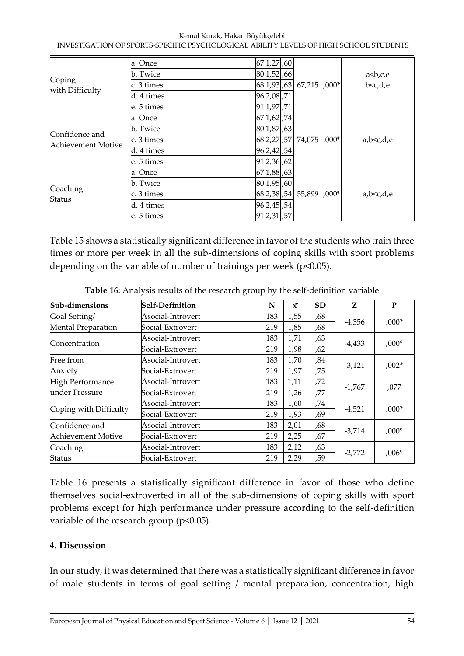|                           | a. Once    | 67 1,27 60  |  |                   |         |                           |
|---------------------------|------------|-------------|--|-------------------|---------|---------------------------|
| Coping<br>with Difficulty | b. Twice   | 80 1,52 ,66 |  |                   |         | a<br>b,c,e                |
|                           | c. 3 times |             |  | 68 1,93 63 67,215 | $,000*$ | b <c,d,e< td=""></c,d,e<> |
|                           | d. 4 times | 96 2,08 71  |  |                   |         |                           |
|                           | e. 5 times | 91 1,97 ,71 |  |                   |         |                           |
|                           | a. Once    | 67 1,62 ,74 |  |                   |         |                           |
| Confidence and            | b. Twice   | 80 1,87 63  |  |                   |         |                           |
| Achievement Motive        | c. 3 times | 68 2, 27 57 |  | 74,075            | $0.00*$ | a,b < c,d,e               |
|                           | d. 4 times | 96 2,42 54  |  |                   |         |                           |
|                           | e. 5 times | 91 2,36 ,62 |  |                   |         |                           |
|                           | a. Once    | 67 1,88 ,63 |  |                   |         |                           |
|                           | b. Twice   | 80 1,95 60  |  |                   |         |                           |
| Coaching<br>Status        | c. 3 times | 68 2,38 ,54 |  | 55,899            | $0.00*$ | a,b < c,d,e               |
|                           | d. 4 times | 96 2,45 54  |  |                   |         |                           |
|                           | e. 5 times | 91 2,31 ,57 |  |                   |         |                           |

Table 15 shows a statistically significant difference in favor of the students who train three times or more per week in all the sub-dimensions of coping skills with sport problems depending on the variable of number of trainings per week (p<0.05).

| Sub-dimensions            | <b>Self-Definition</b> | N   | $\bar{x}$ | <b>SD</b> | Z        | P       |
|---------------------------|------------------------|-----|-----------|-----------|----------|---------|
| Goal Setting/             | Asocial-Introvert      | 183 | 1,55      | ,68       |          |         |
| <b>Mental Preparation</b> | Social-Extrovert       | 219 | 1,85      | ,68       | $-4,356$ | $,000*$ |
|                           | Asocial-Introvert      | 183 | 1,71      | ,63       |          |         |
| Concentration             | Social-Extrovert       | 219 | 1,98      | ,62       | $-4,433$ | $,000*$ |
| Free from                 | Asocial-Introvert      | 183 | 1,70      | ,84       |          |         |
| Anxiety                   | Social-Extrovert       | 219 | 1,97      | ,75       | $-3,121$ | $,002*$ |
| <b>High Performance</b>   | Asocial-Introvert      | 183 | 1,11      | ,72       |          | ,077    |
| under Pressure            | Social-Extrovert       | 219 | 1,26      | ,77       | $-1,767$ |         |
|                           | Asocial-Introvert      | 183 | 1,60      | ,74       |          |         |
| Coping with Difficulty    | Social-Extrovert       | 219 | 1,93      | ,69       | $-4,521$ | $,000*$ |
| Confidence and            | Asocial-Introvert      | 183 | 2,01      | ,68       |          |         |
| <b>Achievement Motive</b> | Social-Extrovert       | 219 | 2,25      | ,67       | $-3,714$ | $,000*$ |
| Coaching                  | Asocial-Introvert      | 183 | 2,12      | ,63       |          | $,006*$ |
| <b>Status</b>             | Social-Extrovert       | 219 | 2,29      | ,59       | $-2,772$ |         |

**Table 16:** Analysis results of the research group by the self-definition variable

Table 16 presents a statistically significant difference in favor of those who define themselves social-extroverted in all of the sub-dimensions of coping skills with sport problems except for high performance under pressure according to the self-definition variable of the research group (p<0.05).

# **4. Discussion**

In our study, it was determined that there was a statistically significant difference in favor of male students in terms of goal setting / mental preparation, concentration, high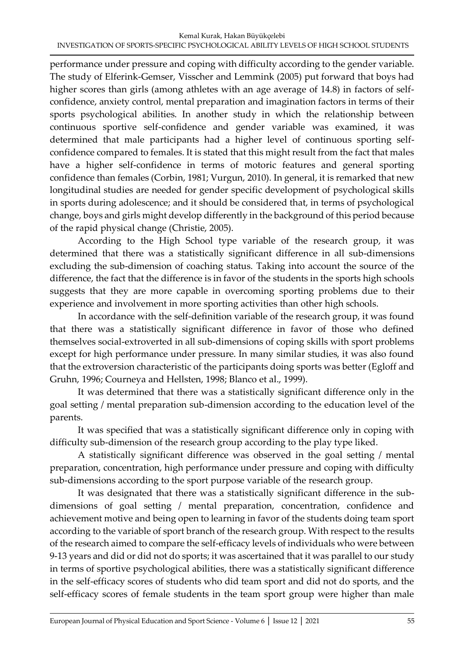performance under pressure and coping with difficulty according to the gender variable. The study of Elferink-Gemser, Visscher and Lemmink (2005) put forward that boys had higher scores than girls (among athletes with an age average of 14.8) in factors of selfconfidence, anxiety control, mental preparation and imagination factors in terms of their sports psychological abilities. In another study in which the relationship between continuous sportive self-confidence and gender variable was examined, it was determined that male participants had a higher level of continuous sporting selfconfidence compared to females. It is stated that this might result from the fact that males have a higher self-confidence in terms of motoric features and general sporting confidence than females (Corbin, 1981; Vurgun, 2010). In general, it is remarked that new longitudinal studies are needed for gender specific development of psychological skills in sports during adolescence; and it should be considered that, in terms of psychological change, boys and girls might develop differently in the background of this period because of the rapid physical change (Christie, 2005).

According to the High School type variable of the research group, it was determined that there was a statistically significant difference in all sub-dimensions excluding the sub-dimension of coaching status. Taking into account the source of the difference, the fact that the difference is in favor of the students in the sports high schools suggests that they are more capable in overcoming sporting problems due to their experience and involvement in more sporting activities than other high schools.

In accordance with the self-definition variable of the research group, it was found that there was a statistically significant difference in favor of those who defined themselves social-extroverted in all sub-dimensions of coping skills with sport problems except for high performance under pressure. In many similar studies, it was also found that the extroversion characteristic of the participants doing sports was better (Egloff and Gruhn, 1996; Courneya and Hellsten, 1998; Blanco et al., 1999).

It was determined that there was a statistically significant difference only in the goal setting / mental preparation sub-dimension according to the education level of the parents.

It was specified that was a statistically significant difference only in coping with difficulty sub-dimension of the research group according to the play type liked.

A statistically significant difference was observed in the goal setting / mental preparation, concentration, high performance under pressure and coping with difficulty sub-dimensions according to the sport purpose variable of the research group.

It was designated that there was a statistically significant difference in the subdimensions of goal setting / mental preparation, concentration, confidence and achievement motive and being open to learning in favor of the students doing team sport according to the variable of sport branch of the research group. With respect to the results of the research aimed to compare the self-efficacy levels of individuals who were between 9-13 years and did or did not do sports; it was ascertained that it was parallel to our study in terms of sportive psychological abilities, there was a statistically significant difference in the self-efficacy scores of students who did team sport and did not do sports, and the self-efficacy scores of female students in the team sport group were higher than male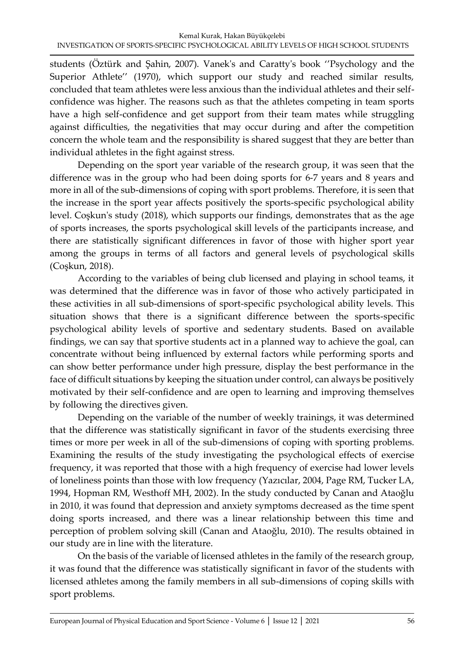students (Öztürk and Şahin, 2007). Vanek's and Caratty's book ''Psychology and the Superior Athlete" (1970), which support our study and reached similar results, concluded that team athletes were less anxious than the individual athletes and their selfconfidence was higher. The reasons such as that the athletes competing in team sports have a high self-confidence and get support from their team mates while struggling against difficulties, the negativities that may occur during and after the competition concern the whole team and the responsibility is shared suggest that they are better than individual athletes in the fight against stress.

Depending on the sport year variable of the research group, it was seen that the difference was in the group who had been doing sports for 6-7 years and 8 years and more in all of the sub-dimensions of coping with sport problems. Therefore, it is seen that the increase in the sport year affects positively the sports-specific psychological ability level. Coşkun's study (2018), which supports our findings, demonstrates that as the age of sports increases, the sports psychological skill levels of the participants increase, and there are statistically significant differences in favor of those with higher sport year among the groups in terms of all factors and general levels of psychological skills (Coşkun, 2018).

According to the variables of being club licensed and playing in school teams, it was determined that the difference was in favor of those who actively participated in these activities in all sub-dimensions of sport-specific psychological ability levels. This situation shows that there is a significant difference between the sports-specific psychological ability levels of sportive and sedentary students. Based on available findings, we can say that sportive students act in a planned way to achieve the goal, can concentrate without being influenced by external factors while performing sports and can show better performance under high pressure, display the best performance in the face of difficult situations by keeping the situation under control, can always be positively motivated by their self-confidence and are open to learning and improving themselves by following the directives given.

Depending on the variable of the number of weekly trainings, it was determined that the difference was statistically significant in favor of the students exercising three times or more per week in all of the sub-dimensions of coping with sporting problems. Examining the results of the study investigating the psychological effects of exercise frequency, it was reported that those with a high frequency of exercise had lower levels of loneliness points than those with low frequency (Yazıcılar, 2004, Page RM, Tucker LA, 1994, Hopman RM, Westhoff MH, 2002). In the study conducted by Canan and Ataoğlu in 2010, it was found that depression and anxiety symptoms decreased as the time spent doing sports increased, and there was a linear relationship between this time and perception of problem solving skill (Canan and Ataoğlu, 2010). The results obtained in our study are in line with the literature.

On the basis of the variable of licensed athletes in the family of the research group, it was found that the difference was statistically significant in favor of the students with licensed athletes among the family members in all sub-dimensions of coping skills with sport problems.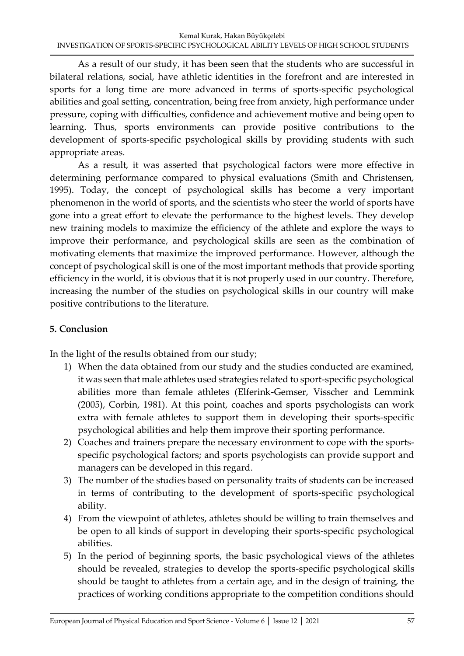As a result of our study, it has been seen that the students who are successful in bilateral relations, social, have athletic identities in the forefront and are interested in sports for a long time are more advanced in terms of sports-specific psychological abilities and goal setting, concentration, being free from anxiety, high performance under pressure, coping with difficulties, confidence and achievement motive and being open to learning. Thus, sports environments can provide positive contributions to the development of sports-specific psychological skills by providing students with such appropriate areas.

As a result, it was asserted that psychological factors were more effective in determining performance compared to physical evaluations (Smith and Christensen, 1995). Today, the concept of psychological skills has become a very important phenomenon in the world of sports, and the scientists who steer the world of sports have gone into a great effort to elevate the performance to the highest levels. They develop new training models to maximize the efficiency of the athlete and explore the ways to improve their performance, and psychological skills are seen as the combination of motivating elements that maximize the improved performance. However, although the concept of psychological skill is one of the most important methods that provide sporting efficiency in the world, it is obvious that it is not properly used in our country. Therefore, increasing the number of the studies on psychological skills in our country will make positive contributions to the literature.

# **5. Conclusion**

In the light of the results obtained from our study;

- 1) When the data obtained from our study and the studies conducted are examined, it was seen that male athletes used strategies related to sport-specific psychological abilities more than female athletes (Elferink-Gemser, Visscher and Lemmink (2005), Corbin, 1981). At this point, coaches and sports psychologists can work extra with female athletes to support them in developing their sports-specific psychological abilities and help them improve their sporting performance.
- 2) Coaches and trainers prepare the necessary environment to cope with the sportsspecific psychological factors; and sports psychologists can provide support and managers can be developed in this regard.
- 3) The number of the studies based on personality traits of students can be increased in terms of contributing to the development of sports-specific psychological ability.
- 4) From the viewpoint of athletes, athletes should be willing to train themselves and be open to all kinds of support in developing their sports-specific psychological abilities.
- 5) In the period of beginning sports, the basic psychological views of the athletes should be revealed, strategies to develop the sports-specific psychological skills should be taught to athletes from a certain age, and in the design of training, the practices of working conditions appropriate to the competition conditions should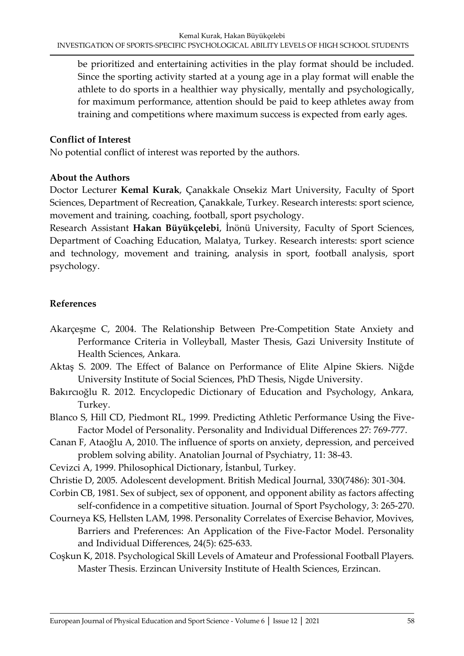be prioritized and entertaining activities in the play format should be included. Since the sporting activity started at a young age in a play format will enable the athlete to do sports in a healthier way physically, mentally and psychologically, for maximum performance, attention should be paid to keep athletes away from training and competitions where maximum success is expected from early ages.

## **Conflict of Interest**

No potential conflict of interest was reported by the authors.

## **About the Authors**

Doctor Lecturer **Kemal Kurak**, Çanakkale Onsekiz Mart University, Faculty of Sport Sciences, Department of Recreation, Çanakkale, Turkey. Research interests: sport science, movement and training, coaching, football, sport psychology.

Research Assistant **Hakan Büyükçelebi**, İnönü University, Faculty of Sport Sciences, Department of Coaching Education, Malatya, Turkey. Research interests: sport science and technology, movement and training, analysis in sport, football analysis, sport psychology.

# **References**

- Akarçeşme C, 2004. The Relationship Between Pre-Competition State Anxiety and Performance Criteria in Volleyball, Master Thesis, Gazi University Institute of Health Sciences, Ankara.
- Aktaş S. 2009. The Effect of Balance on Performance of Elite Alpine Skiers. Niğde University Institute of Social Sciences, PhD Thesis, Nigde University.
- Bakırcıoğlu R. 2012. Encyclopedic Dictionary of Education and Psychology, Ankara, Turkey.
- Blanco S, Hill CD, Piedmont RL, 1999. Predicting Athletic Performance Using the Five-Factor Model of Personality. Personality and Individual Differences 27: 769-777.
- Canan F, Ataoğlu A, 2010. The influence of sports on anxiety, depression, and perceived problem solving ability. Anatolian Journal of Psychiatry, 11: 38-43.
- Cevizci A, 1999. Philosophical Dictionary, İstanbul, Turkey.
- Christie D, 2005. Adolescent development. British Medical Journal, 330(7486): 301-304.
- Corbin CB, 1981. Sex of subject, sex of opponent, and opponent ability as factors affecting self-confidence in a competitive situation. Journal of Sport Psychology, 3: 265-270.
- Courneya KS, Hellsten LAM, 1998. Personality Correlates of Exercise Behavior, Movives, Barriers and Preferences: An Application of the Five-Factor Model. Personality and Individual Differences, 24(5): 625-633.
- Coşkun K, 2018. Psychological Skill Levels of Amateur and Professional Football Players. Master Thesis. Erzincan University Institute of Health Sciences, Erzincan.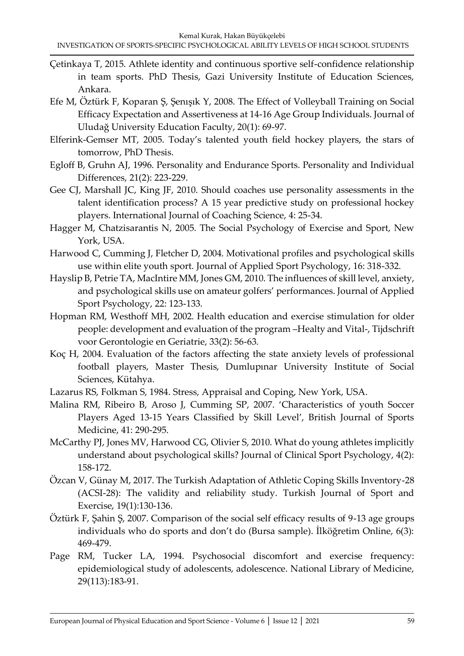- Çetinkaya T, 2015. Athlete identity and continuous sportive self-confidence relationship in team sports. PhD Thesis, Gazi University Institute of Education Sciences, Ankara.
- Efe M, Öztürk F, Koparan Ş, Şenışık Y, 2008. The Effect of Volleyball Training on Social Efficacy Expectation and Assertiveness at 14-16 Age Group Individuals. Journal of Uludağ University Education Faculty, 20(1): 69-97.
- Elferink-Gemser MT, 2005. Today's talented youth field hockey players, the stars of tomorrow, PhD Thesis.
- Egloff B, Gruhn AJ, 1996. Personality and Endurance Sports. Personality and Individual Differences, 21(2): 223-229.
- Gee CJ, Marshall JC, King JF, 2010. Should coaches use personality assessments in the talent identification process? A 15 year predictive study on professional hockey players. International Journal of Coaching Science, 4: 25-34.
- Hagger M, Chatzisarantis N, 2005. The Social Psychology of Exercise and Sport, New York, USA.
- Harwood C, Cumming J, Fletcher D, 2004. Motivational profiles and psychological skills use within elite youth sport. Journal of Applied Sport Psychology, 16: 318-332.
- Hayslip B, Petrie TA, MacIntire MM, Jones GM, 2010. The influences of skill level, anxiety, and psychological skills use on amateur golfers' performances. Journal of Applied Sport Psychology, 22: 123-133.
- Hopman RM, Westhoff MH, 2002. Health education and exercise stimulation for older people: development and evaluation of the program –Healty and Vital-, Tijdschrift voor Gerontologie en Geriatrie, 33(2): 56-63.
- Koç H, 2004. Evaluation of the factors affecting the state anxiety levels of professional football players, Master Thesis, Dumlupınar University Institute of Social Sciences, Kütahya.
- Lazarus RS, Folkman S, 1984. Stress, Appraisal and Coping, New York, USA.
- Malina RM, Ribeiro B, Aroso J, Cumming SP, 2007. 'Characteristics of youth Soccer Players Aged 13-15 Years Classified by Skill Level', British Journal of Sports Medicine, 41: 290-295.
- McCarthy PJ, Jones MV, Harwood CG, Olivier S, 2010. What do young athletes implicitly understand about psychological skills? Journal of Clinical Sport Psychology, 4(2): 158-172.
- Özcan V, Günay M, 2017. The Turkish Adaptation of Athletic Coping Skills Inventory-28 (ACSI-28): The validity and reliability study. Turkish Journal of Sport and Exercise, 19(1):130-136.
- Öztürk F, Şahin Ş, 2007. Comparison of the social self efficacy results of 9-13 age groups individuals who do sports and don't do (Bursa sample). İlköğretim Online, 6(3): 469-479.
- Page RM, Tucker LA, 1994. Psychosocial discomfort and exercise frequency: epidemiological study of adolescents, adolescence. National Library of Medicine, 29(113):183-91.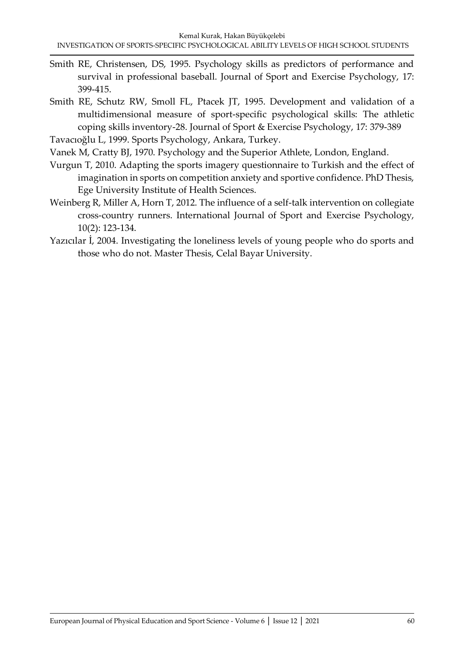- Smith RE, Christensen, DS, 1995. Psychology skills as predictors of performance and survival in professional baseball. Journal of Sport and Exercise Psychology, 17: 399-415.
- Smith RE, Schutz RW, Smoll FL, Ptacek JT, 1995. Development and validation of a multidimensional measure of sport-specific psychological skills: The athletic coping skills inventory-28. Journal of Sport & Exercise Psychology, 17: 379-389

```
Tavacıoğlu L, 1999. Sports Psychology, Ankara, Turkey.
```
- Vanek M, Cratty BJ, 1970. Psychology and the Superior Athlete, London, England.
- Vurgun T, 2010. Adapting the sports imagery questionnaire to Turkish and the effect of imagination in sports on competition anxiety and sportive confidence. PhD Thesis, Ege University Institute of Health Sciences.
- Weinberg R, Miller A, Horn T, 2012. The influence of a self-talk intervention on collegiate cross-country runners. International Journal of Sport and Exercise Psychology, 10(2): 123-134.
- Yazıcılar İ, 2004. Investigating the loneliness levels of young people who do sports and those who do not. Master Thesis, Celal Bayar University.